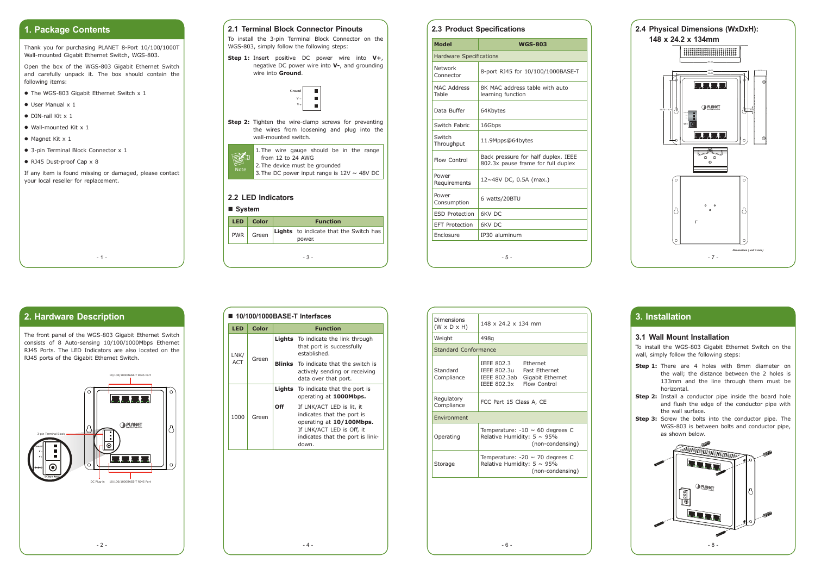

### **1. Package Contents**

Thank you for purchasing PLANET 8-Port 10/100/1000T Wall-mounted Gigabit Ethernet Switch, WGS-803.

Open the box of the WGS-803 Gigabit Ethernet Switch and carefully unpack it. The box should contain the following items:

- The WGS-803 Gigabit Ethernet Switch x 1
- User Manual x 1
- $\bullet$  DIN-rail Kit x 1
- $\bullet$  Wall-mounted Kit x 1
- $\bullet$  Magnet Kit x 1
- 3-pin Terminal Block Connector x 1
- $\bullet$  RJ45 Dust-proof Cap  $\times$  8

If any item is found missing or damaged, please contact your local reseller for replacement.

 $-1 -$ 



| <b>LED</b> | Color | <b>Function</b> |                                                  |  |
|------------|-------|-----------------|--------------------------------------------------|--|
| <b>PWR</b> | Green |                 | Lights to indicate that the Switch has<br>power. |  |
|            |       |                 | - 3 -                                            |  |



To install the 3-pin Terminal Block Connector on the WGS-803, simply follow the following steps:

**Step 1:** Insert positive DC power wire into **V+**, negative DC power wire into **V-**, and grounding wire into **Ground**.



| <b>Model</b>                   | <b>WGS-803</b>                                                            |  |  |  |
|--------------------------------|---------------------------------------------------------------------------|--|--|--|
| <b>Hardware Specifications</b> |                                                                           |  |  |  |
| Network<br>Connector           | 8-port RJ45 for 10/100/1000BASE-T                                         |  |  |  |
| <b>MAC Address</b><br>Table    | 8K MAC address table with auto<br>learning function                       |  |  |  |
| Data Buffer                    | 64Kbytes                                                                  |  |  |  |
| Switch Fabric                  | 16Gbps                                                                    |  |  |  |
| Switch<br>Throughput           | 11.9Mpps@64bytes                                                          |  |  |  |
| Flow Control                   | Back pressure for half duplex. IEEE<br>802.3x pause frame for full duplex |  |  |  |
| Power<br>Requirements          | 12~48V DC, 0.5A (max.)                                                    |  |  |  |
| Power<br>Consumption           | 6 watts/20BTU                                                             |  |  |  |
| <b>ESD Protection</b>          | 6KV DC                                                                    |  |  |  |
| <b>EFT Protection</b>          | 6KV DC                                                                    |  |  |  |
| Enclosure                      | IP30 aluminum                                                             |  |  |  |
|                                | - 5 -                                                                     |  |  |  |



#### **2.2 LED Indicators**

#### **System**

#### **2.3 Product Specifications**

- **Step 1:** There are 4 holes with 8mm diameter on the wall; the distance between the 2 holes is 133mm and the line through them must be horizontal.
- **Step 2:** Install a conductor pipe inside the board hole and flush the edge of the conductor pipe with the wall surface.
- **Step 3:** Screw the bolts into the conductor pipe. The WGS-803 is between bolts and conductor pipe, as shown below.

### **2. Hardware Description**

The front panel of the WGS-803 Gigabit Ethernet Switch consists of 8 Auto-sensing 10/100/1000Mbps Ethernet RJ45 Ports. The LED Indicators are also located on the RJ45 ports of the Gigabit Ethernet Switch.



| $\blacksquare$ 10/100/1000BASE-T Interfaces |             |       |                 |                                                                                                                                                               |  |  |
|---------------------------------------------|-------------|-------|-----------------|---------------------------------------------------------------------------------------------------------------------------------------------------------------|--|--|
|                                             | <b>LED</b>  | Color | <b>Function</b> |                                                                                                                                                               |  |  |
|                                             | LNK/<br>ACT | Green |                 | <b>Lights</b> To indicate the link through<br>that port is successfully<br>established.                                                                       |  |  |
|                                             |             |       |                 | <b>Blinks</b> To indicate that the switch is<br>actively sending or receiving<br>data over that port.                                                         |  |  |
|                                             | 1000        | Green |                 | <b>Lights</b> To indicate that the port is<br>operating at <b>1000Mbps.</b>                                                                                   |  |  |
|                                             |             |       | Off             | If LNK/ACT LED is lit, it<br>indicates that the port is<br>operating at 10/100Mbps.<br>If LNK/ACT LED is Off, it<br>indicates that the port is link-<br>down. |  |  |

# **3. Installation**

#### **3.1 Wall Mount Installation**

To install the WGS-803 Gigabit Ethernet Switch on the wall, simply follow the following steps:

| Dimensions<br>$(W \times D \times H)$ | 148 x 24.2 x 134 mm                                                                                                                     |  |  |  |  |
|---------------------------------------|-----------------------------------------------------------------------------------------------------------------------------------------|--|--|--|--|
| Weight                                | 498q                                                                                                                                    |  |  |  |  |
|                                       | Standard Conformance                                                                                                                    |  |  |  |  |
| Standard<br>Compliance                | IEEE 802.3<br><b>Fthernet</b><br><b>Fast Ethernet</b><br>IEEE 802.3u<br>IEEE 802.3ab<br>Gigabit Ethernet<br>Flow Control<br>IFFF 802.3x |  |  |  |  |
| Regulatory<br>Compliance              | FCC Part 15 Class A, CE                                                                                                                 |  |  |  |  |
| <b>Fnvironment</b>                    |                                                                                                                                         |  |  |  |  |
| Operating                             | Temperature: $-10 \sim 60$ degrees C<br>Relative Humidity: $5 \sim 95\%$<br>(non-condensing)                                            |  |  |  |  |
| Storage                               | Temperature: $-20 \sim 70$ degrees C<br>Relative Humidity: $5 \sim 95\%$<br>(non-condensing)                                            |  |  |  |  |